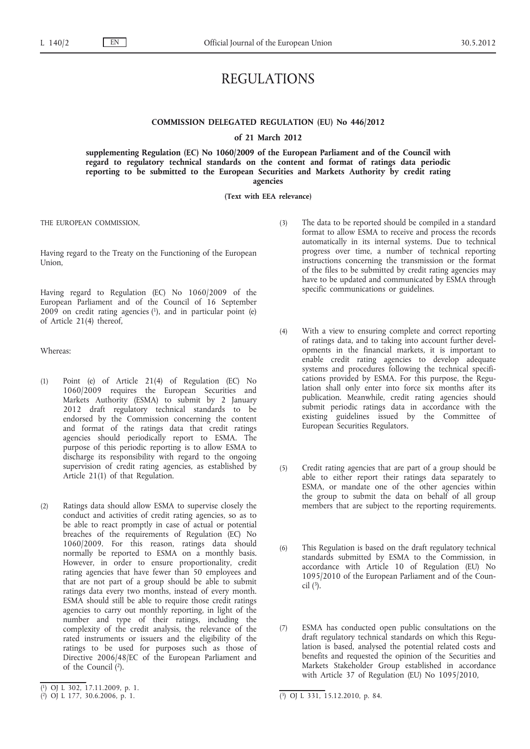# REGULATIONS

## **COMMISSION DELEGATED REGULATION (EU) No 446/2012**

#### **of 21 March 2012**

**supplementing Regulation (EC) No 1060/2009 of the European Parliament and of the Council with regard to regulatory technical standards on the content and format of ratings data periodic reporting to be submitted to the European Securities and Markets Authority by credit rating agencies**

**(Text with EEA relevance)**

THE EUROPEAN COMMISSION,

Having regard to the Treaty on the Functioning of the European Union,

Having regard to Regulation (EC) No 1060/2009 of the European Parliament and of the Council of 16 September  $2009$  on credit rating agencies  $(1)$ , and in particular point  $(e)$ of Article 21(4) thereof,

Whereas:

- (1) Point (e) of Article 21(4) of Regulation (EC) No 1060/2009 requires the European Securities and Markets Authority (ESMA) to submit by 2 January 2012 draft regulatory technical standards to be endorsed by the Commission concerning the content and format of the ratings data that credit ratings agencies should periodically report to ESMA. The purpose of this periodic reporting is to allow ESMA to discharge its responsibility with regard to the ongoing supervision of credit rating agencies, as established by Article 21(1) of that Regulation.
- (2) Ratings data should allow ESMA to supervise closely the conduct and activities of credit rating agencies, so as to be able to react promptly in case of actual or potential breaches of the requirements of Regulation (EC) No 1060/2009. For this reason, ratings data should normally be reported to ESMA on a monthly basis. However, in order to ensure proportionality, credit rating agencies that have fewer than 50 employees and that are not part of a group should be able to submit ratings data every two months, instead of every month. ESMA should still be able to require those credit ratings agencies to carry out monthly reporting, in light of the number and type of their ratings, including the complexity of the credit analysis, the relevance of the rated instruments or issuers and the eligibility of the ratings to be used for purposes such as those of Directive 2006/48/EC of the European Parliament and of the Council (2).
- (3) The data to be reported should be compiled in a standard format to allow ESMA to receive and process the records automatically in its internal systems. Due to technical progress over time, a number of technical reporting instructions concerning the transmission or the format of the files to be submitted by credit rating agencies may have to be updated and communicated by ESMA through specific communications or guidelines.
- (4) With a view to ensuring complete and correct reporting of ratings data, and to taking into account further developments in the financial markets, it is important to enable credit rating agencies to develop adequate systems and procedures following the technical specifications provided by ESMA. For this purpose, the Regulation shall only enter into force six months after its publication. Meanwhile, credit rating agencies should submit periodic ratings data in accordance with the existing guidelines issued by the Committee of European Securities Regulators.
- (5) Credit rating agencies that are part of a group should be able to either report their ratings data separately to ESMA, or mandate one of the other agencies within the group to submit the data on behalf of all group members that are subject to the reporting requirements.
- (6) This Regulation is based on the draft regulatory technical standards submitted by ESMA to the Commission, in accordance with Article 10 of Regulation (EU) No 1095/2010 of the European Parliament and of the Council  $(3)$ .
- (7) ESMA has conducted open public consultations on the draft regulatory technical standards on which this Regulation is based, analysed the potential related costs and benefits and requested the opinion of the Securities and Markets Stakeholder Group established in accordance with Article 37 of Regulation (EU) No 1095/2010,

<sup>(</sup> 1) OJ L 302, 17.11.2009, p. 1.

 $(2)$  OJ L 177, 30.6.2006, p. 1.

 $\overline{(^3)}$  OJ L 331, 15.12.2010, p. 84.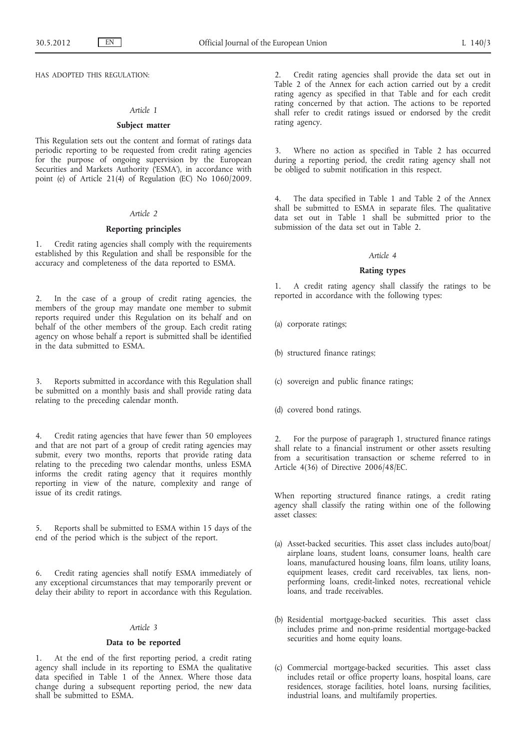HAS ADOPTED THIS REGULATION:

#### *Article 1*

#### **Subject matter**

This Regulation sets out the content and format of ratings data periodic reporting to be requested from credit rating agencies for the purpose of ongoing supervision by the European Securities and Markets Authority ('ESMA'), in accordance with point (e) of Article 21(4) of Regulation (EC) No 1060/2009.

#### *Article 2*

### **Reporting principles**

1. Credit rating agencies shall comply with the requirements established by this Regulation and shall be responsible for the accuracy and completeness of the data reported to ESMA.

2. In the case of a group of credit rating agencies, the members of the group may mandate one member to submit reports required under this Regulation on its behalf and on behalf of the other members of the group. Each credit rating agency on whose behalf a report is submitted shall be identified in the data submitted to ESMA.

3. Reports submitted in accordance with this Regulation shall be submitted on a monthly basis and shall provide rating data relating to the preceding calendar month.

4. Credit rating agencies that have fewer than 50 employees and that are not part of a group of credit rating agencies may submit, every two months, reports that provide rating data relating to the preceding two calendar months, unless ESMA informs the credit rating agency that it requires monthly reporting in view of the nature, complexity and range of issue of its credit ratings.

5. Reports shall be submitted to ESMA within 15 days of the end of the period which is the subject of the report.

6. Credit rating agencies shall notify ESMA immediately of any exceptional circumstances that may temporarily prevent or delay their ability to report in accordance with this Regulation.

### *Article 3*

#### **Data to be reported**

1. At the end of the first reporting period, a credit rating agency shall include in its reporting to ESMA the qualitative data specified in Table 1 of the Annex. Where those data change during a subsequent reporting period, the new data shall be submitted to ESMA.

2. Credit rating agencies shall provide the data set out in Table 2 of the Annex for each action carried out by a credit rating agency as specified in that Table and for each credit rating concerned by that action. The actions to be reported shall refer to credit ratings issued or endorsed by the credit rating agency.

3. Where no action as specified in Table 2 has occurred during a reporting period, the credit rating agency shall not be obliged to submit notification in this respect.

The data specified in Table 1 and Table 2 of the Annex shall be submitted to ESMA in separate files. The qualitative data set out in Table 1 shall be submitted prior to the submission of the data set out in Table 2.

#### *Article 4*

#### **Rating types**

1. A credit rating agency shall classify the ratings to be reported in accordance with the following types:

- (a) corporate ratings;
- (b) structured finance ratings;
- (c) sovereign and public finance ratings;
- (d) covered bond ratings.

For the purpose of paragraph 1, structured finance ratings shall relate to a financial instrument or other assets resulting from a securitisation transaction or scheme referred to in Article 4(36) of Directive 2006/48/EC.

When reporting structured finance ratings, a credit rating agency shall classify the rating within one of the following asset classes:

- (a) Asset-backed securities. This asset class includes auto/boat/ airplane loans, student loans, consumer loans, health care loans, manufactured housing loans, film loans, utility loans, equipment leases, credit card receivables, tax liens, nonperforming loans, credit-linked notes, recreational vehicle loans, and trade receivables.
- (b) Residential mortgage-backed securities. This asset class includes prime and non-prime residential mortgage-backed securities and home equity loans.
- (c) Commercial mortgage-backed securities. This asset class includes retail or office property loans, hospital loans, care residences, storage facilities, hotel loans, nursing facilities, industrial loans, and multifamily properties.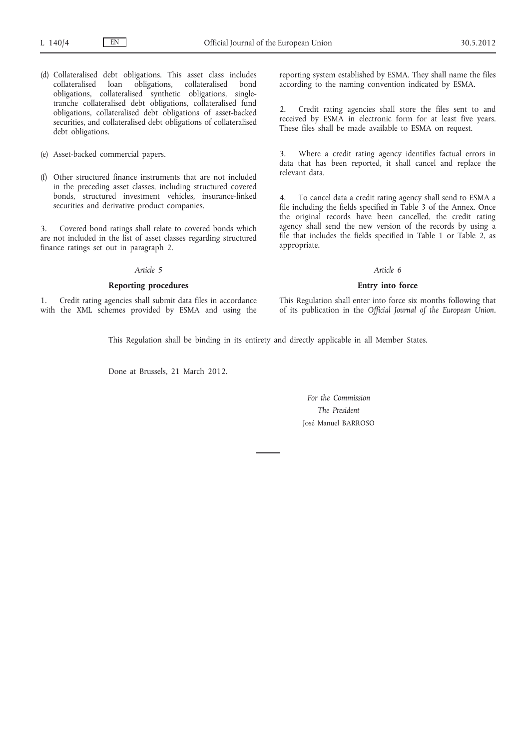- (d) Collateralised debt obligations. This asset class includes collateralised loan obligations, collateralised bond obligations, collateralised synthetic obligations, singletranche collateralised debt obligations, collateralised fund obligations, collateralised debt obligations of asset-backed securities, and collateralised debt obligations of collateralised debt obligations.
- (e) Asset-backed commercial papers.
- (f) Other structured finance instruments that are not included in the preceding asset classes, including structured covered bonds, structured investment vehicles, insurance-linked securities and derivative product companies.

3. Covered bond ratings shall relate to covered bonds which are not included in the list of asset classes regarding structured finance ratings set out in paragraph 2.

### *Article 5*

### **Reporting procedures**

1. Credit rating agencies shall submit data files in accordance with the XML schemes provided by ESMA and using the reporting system established by ESMA. They shall name the files according to the naming convention indicated by ESMA.

2. Credit rating agencies shall store the files sent to and received by ESMA in electronic form for at least five years. These files shall be made available to ESMA on request.

3. Where a credit rating agency identifies factual errors in data that has been reported, it shall cancel and replace the relevant data.

4. To cancel data a credit rating agency shall send to ESMA a file including the fields specified in Table 3 of the Annex. Once the original records have been cancelled, the credit rating agency shall send the new version of the records by using a file that includes the fields specified in Table 1 or Table 2, as appropriate.

### *Article 6*

#### **Entry into force**

This Regulation shall enter into force six months following that of its publication in the *Official Journal of the European Union*.

This Regulation shall be binding in its entirety and directly applicable in all Member States.

Done at Brussels, 21 March 2012.

*For the Commission The President* José Manuel BARROSO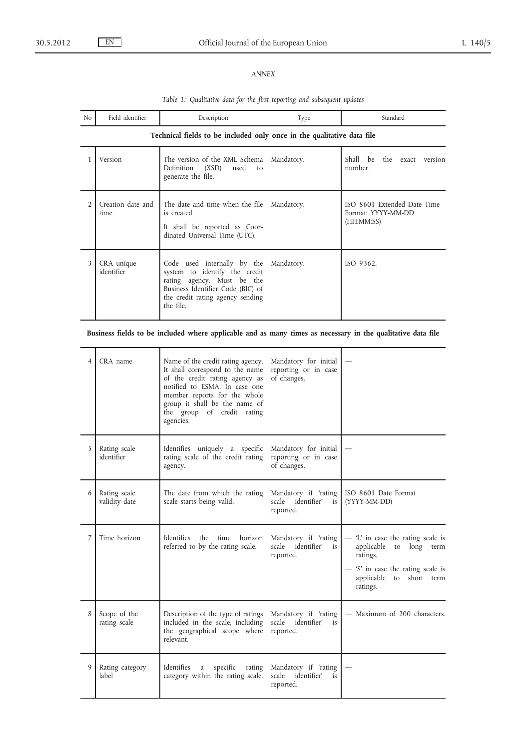# *ANNEX*

| N <sub>o</sub> | Field identifier                                                       | Description                                                                                                                                                                      | Type       | Standard                                                        |  |  |  |
|----------------|------------------------------------------------------------------------|----------------------------------------------------------------------------------------------------------------------------------------------------------------------------------|------------|-----------------------------------------------------------------|--|--|--|
|                | Technical fields to be included only once in the qualitative data file |                                                                                                                                                                                  |            |                                                                 |  |  |  |
|                | Version                                                                | The version of the XML Schema<br>Definition (XSD)<br>used<br>to<br>generate the file.                                                                                            | Mandatory. | Shall be the exact version<br>number.                           |  |  |  |
| $\mathfrak{D}$ | Creation date and<br>time                                              | The date and time when the file<br>is created.<br>It shall be reported as Coor-<br>dinated Universal Time (UTC).                                                                 | Mandatory. | ISO 8601 Extended Date Time<br>Format: YYYY-MM-DD<br>(HH:MM:SS) |  |  |  |
| 3              | CRA unique<br>identifier                                               | Code used internally by the<br>system to identify the credit<br>rating agency. Must be the<br>Business Identifier Code (BIC) of<br>the credit rating agency sending<br>the file. | Mandatory. | ISO 9362.                                                       |  |  |  |

# *Table 1: Qualitative data for the first reporting and subsequent updates*

# **Business fields to be included where applicable and as many times as necessary in the qualitative data file**

| $\overline{4}$ | CRA name                      | Name of the credit rating agency.<br>It shall correspond to the name<br>of the credit rating agency as<br>notified to ESMA. In case one<br>member reports for the whole<br>group it shall be the name of<br>the group of credit rating<br>agencies. | Mandatory for initial<br>reporting or in case<br>of changes.    |                                                                                                                                                          |
|----------------|-------------------------------|-----------------------------------------------------------------------------------------------------------------------------------------------------------------------------------------------------------------------------------------------------|-----------------------------------------------------------------|----------------------------------------------------------------------------------------------------------------------------------------------------------|
| 5              | Rating scale<br>identifier    | Identifies uniquely a specific<br>rating scale of the credit rating<br>agency.                                                                                                                                                                      | Mandatory for initial<br>reporting or in case<br>of changes.    |                                                                                                                                                          |
| 6              | Rating scale<br>validity date | The date from which the rating<br>scale starts being valid.                                                                                                                                                                                         | Mandatory if 'rating<br>scale identifier'<br>is<br>reported.    | ISO 8601 Date Format<br>(YYYY-MM-DD)                                                                                                                     |
| $\overline{7}$ | Time horizon                  | Identifies<br>the<br>time<br>horizon<br>referred to by the rating scale.                                                                                                                                                                            | Mandatory if 'rating<br>identifier'<br>scale<br>is<br>reported. | - 'L' in case the rating scale is<br>applicable to long<br>term<br>ratings,<br>- 'S' in case the rating scale is<br>applicable to short term<br>ratings. |
| 8              | Scope of the<br>rating scale  | Description of the type of ratings<br>included in the scale, including<br>the geographical scope where<br>relevant.                                                                                                                                 | Mandatory if 'rating<br>scale identifier'<br>is<br>reported.    | - Maximum of 200 characters.                                                                                                                             |
| 9              | Rating category<br>label      | Identifies<br>specific<br>a<br>rating<br>category within the rating scale.                                                                                                                                                                          | Mandatory if 'rating<br>scale<br>identifier'<br>is<br>reported. |                                                                                                                                                          |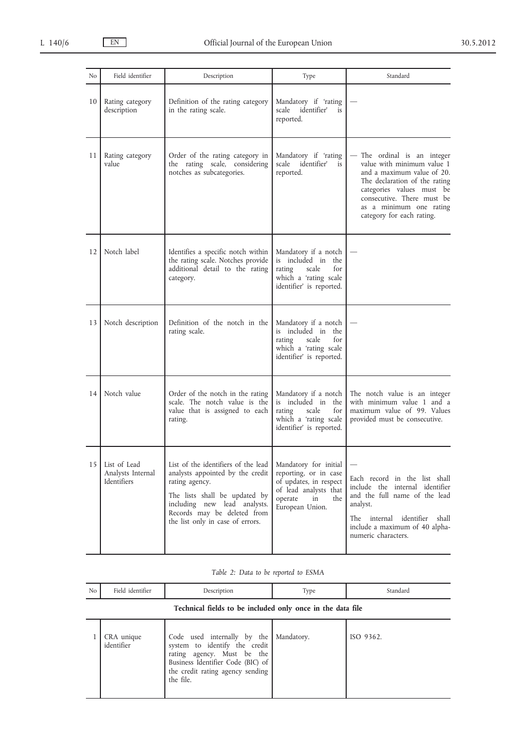| N <sub>o</sub>    | Field identifier                                 | Description                                                                                                                                                                                                                   | Type                                                                                                                                         | Standard                                                                                                                                                                                                                                    |
|-------------------|--------------------------------------------------|-------------------------------------------------------------------------------------------------------------------------------------------------------------------------------------------------------------------------------|----------------------------------------------------------------------------------------------------------------------------------------------|---------------------------------------------------------------------------------------------------------------------------------------------------------------------------------------------------------------------------------------------|
| 10                | Rating category<br>description                   | Definition of the rating category<br>in the rating scale.                                                                                                                                                                     | Mandatory if 'rating<br>identifier'<br>scale<br>is<br>reported.                                                                              |                                                                                                                                                                                                                                             |
| 11                | Rating category<br>value                         | Order of the rating category in<br>the rating scale, considering<br>notches as subcategories.                                                                                                                                 | Mandatory if 'rating<br>scale identifier'<br>is<br>reported.                                                                                 | - The ordinal is an integer<br>value with minimum value 1<br>and a maximum value of 20.<br>The declaration of the rating<br>categories values must be<br>consecutive. There must be<br>as a minimum one rating<br>category for each rating. |
| 12                | Notch label                                      | Identifies a specific notch within<br>the rating scale. Notches provide<br>additional detail to the rating<br>category.                                                                                                       | Mandatory if a notch<br>is included in the<br>scale<br>for<br>rating<br>which a 'rating scale<br>identifier' is reported.                    |                                                                                                                                                                                                                                             |
| 13                | Notch description                                | Definition of the notch in the<br>rating scale.                                                                                                                                                                               | Mandatory if a notch<br>included in the<br>is<br>scale<br>for<br>rating<br>which a 'rating scale<br>identifier' is reported.                 |                                                                                                                                                                                                                                             |
| 14                | Notch value                                      | Order of the notch in the rating<br>scale. The notch value is the<br>value that is assigned to each<br>rating.                                                                                                                | Mandatory if a notch<br>is included in the<br>rating<br>scale<br>for<br>which a 'rating scale<br>identifier' is reported.                    | The notch value is an integer<br>with minimum value 1 and a<br>maximum value of 99. Values<br>provided must be consecutive.                                                                                                                 |
| $\vert$ 5 $\vert$ | List of Lead<br>Analysts Internal<br>Identifiers | List of the identifiers of the lead<br>analysts appointed by the credit<br>rating agency.<br>The lists shall be updated by<br>including new lead analysts.<br>Records may be deleted from<br>the list only in case of errors. | Mandatory for initial<br>reporting, or in case<br>of updates, in respect<br>of lead analysts that<br>operate<br>the<br>in<br>European Union. | Each record in the list shall<br>include the internal identifier<br>and the full name of the lead<br>analyst.<br>The internal<br>identifier<br>shall<br>include a maximum of 40 alpha-<br>numeric characters.                               |

|  |  |  |  |  |  | Table 2: Data to be reported to ESMA |  |  |
|--|--|--|--|--|--|--------------------------------------|--|--|
|--|--|--|--|--|--|--------------------------------------|--|--|

| N <sub>o</sub> | Field identifier                                           | Description                                                                                                                                                                      | Type       | Standard  |  |  |
|----------------|------------------------------------------------------------|----------------------------------------------------------------------------------------------------------------------------------------------------------------------------------|------------|-----------|--|--|
|                | Technical fields to be included only once in the data file |                                                                                                                                                                                  |            |           |  |  |
|                | CRA unique<br>identifier                                   | Code used internally by the<br>system to identify the credit<br>rating agency. Must be the<br>Business Identifier Code (BIC) of<br>the credit rating agency sending<br>the file. | Mandatory. | ISO 9362. |  |  |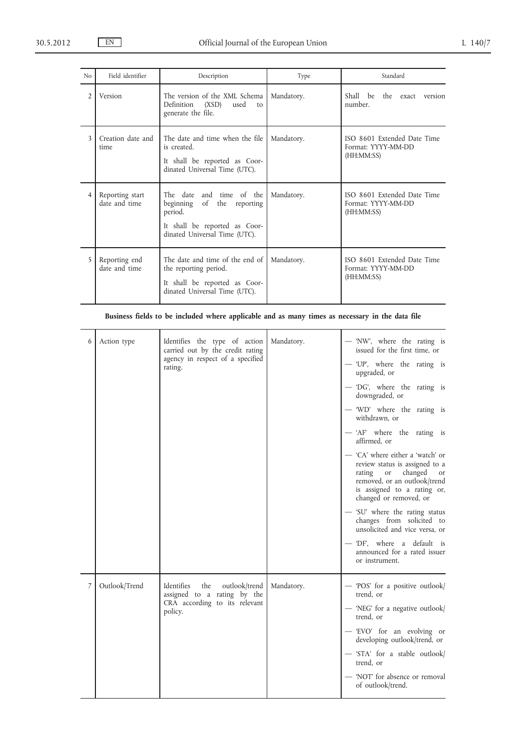| N <sub>0</sub> | Field identifier                 | Description                                                                                                                         | Type       | Standard                                                        |
|----------------|----------------------------------|-------------------------------------------------------------------------------------------------------------------------------------|------------|-----------------------------------------------------------------|
| $\overline{2}$ | Version                          | The version of the XML Schema<br>Definition<br>(XSD)<br>used<br>to<br>generate the file.                                            | Mandatory. | Shall be<br>the exact version<br>number.                        |
| 3              | Creation date and<br>time        | The date and time when the file<br>is created.<br>It shall be reported as Coor-<br>dinated Universal Time (UTC).                    | Mandatory. | ISO 8601 Extended Date Time<br>Format: YYYY-MM-DD<br>(HH:MM:SS) |
| 4              | Reporting start<br>date and time | The date and time of the<br>beginning of the reporting<br>period.<br>It shall be reported as Coor-<br>dinated Universal Time (UTC). | Mandatory. | ISO 8601 Extended Date Time<br>Format: YYYY-MM-DD<br>(HH:MM:SS) |
| 5.             | Reporting end<br>date and time   | The date and time of the end of<br>the reporting period.<br>It shall be reported as Coor-<br>dinated Universal Time (UTC).          | Mandatory. | ISO 8601 Extended Date Time<br>Format: YYYY-MM-DD<br>(HH:MM:SS) |

**Business fields to be included where applicable and as many times as necessary in the data file**

| 6 | Action type   | Identifies the type of action<br>carried out by the credit rating<br>agency in respect of a specified<br>rating. | Mandatory. | - 'NW', where the rating is<br>issued for the first time, or<br>- 'UP', where the rating is<br>upgraded, or<br>— 'DG', where the rating is<br>downgraded, or<br>- 'WD' where the rating is<br>withdrawn, or<br>- 'AF' where the rating is<br>affirmed, or<br>- 'CA' where either a 'watch' or<br>review status is assigned to a<br>rating or changed<br>or |
|---|---------------|------------------------------------------------------------------------------------------------------------------|------------|------------------------------------------------------------------------------------------------------------------------------------------------------------------------------------------------------------------------------------------------------------------------------------------------------------------------------------------------------------|
|   |               |                                                                                                                  |            | removed, or an outlook/trend<br>is assigned to a rating or,<br>changed or removed, or<br>- 'SU' where the rating status<br>changes from solicited to<br>unsolicited and vice versa, or<br>- 'DF', where a default is<br>announced for a rated issuer<br>or instrument.                                                                                     |
| 7 | Outlook/Trend | Identifies<br>the<br>outlook/trend<br>assigned to a rating by the<br>CRA according to its relevant<br>policy.    | Mandatory. | - 'POS' for a positive outlook/<br>trend, or<br>- 'NEG' for a negative outlook/<br>trend, or<br>- 'EVO' for an evolving or<br>developing outlook/trend, or<br>- 'STA' for a stable outlook/<br>trend, or<br>- 'NOT' for absence or removal<br>of outlook/trend.                                                                                            |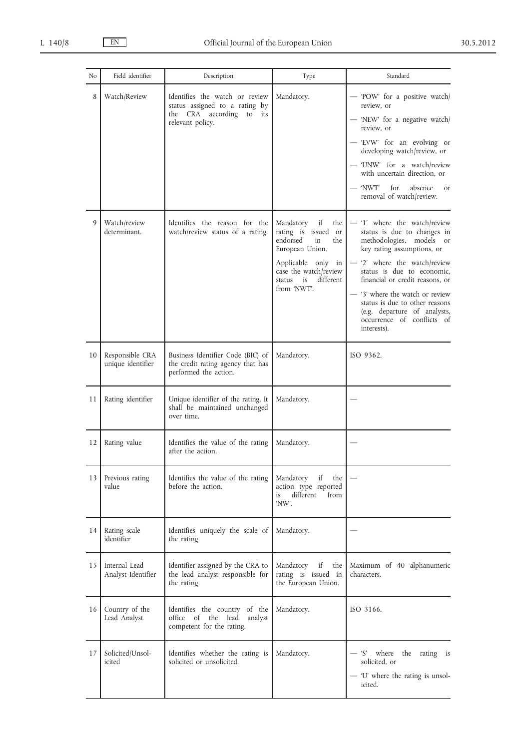| N <sub>0</sub> | Field identifier                     | Description                                                                                                            | Type                                                                                                                                                                              | Standard                                                                                                                                                                                                                                                                                                                                                                 |
|----------------|--------------------------------------|------------------------------------------------------------------------------------------------------------------------|-----------------------------------------------------------------------------------------------------------------------------------------------------------------------------------|--------------------------------------------------------------------------------------------------------------------------------------------------------------------------------------------------------------------------------------------------------------------------------------------------------------------------------------------------------------------------|
| 8              | Watch/Review                         | Identifies the watch or review<br>status assigned to a rating by<br>the CRA according<br>to<br>its<br>relevant policy. | Mandatory.                                                                                                                                                                        | - 'POW' for a positive watch/<br>review, or<br>- 'NEW' for a negative watch/<br>review, or<br>- 'EVW' for an evolving or<br>developing watch/review, or<br>- 'UNW' for a watch/review<br>with uncertain direction, or<br>for<br>absence<br>— 'NWT'<br><b>or</b><br>removal of watch/review.                                                                              |
| 9              | Watch/review<br>determinant.         | Identifies the reason for the<br>watch/review status of a rating.                                                      | Mandatory<br>if<br>the<br>rating is issued or<br>endorsed<br>in<br>the<br>European Union.<br>Applicable only in<br>case the watch/review<br>different<br>status is<br>from 'NWT'. | - '1' where the watch/review<br>status is due to changes in<br>methodologies, models or<br>key rating assumptions, or<br>- '2' where the watch/review<br>status is due to economic,<br>financial or credit reasons, or<br>- '3' where the watch or review<br>status is due to other reasons<br>(e.g. departure of analysts,<br>occurrence of conflicts of<br>interests). |
| 10             | Responsible CRA<br>unique identifier | Business Identifier Code (BIC) of<br>the credit rating agency that has<br>performed the action.                        | Mandatory.                                                                                                                                                                        | ISO 9362.                                                                                                                                                                                                                                                                                                                                                                |
| 11             | Rating identifier                    | Unique identifier of the rating. It<br>shall be maintained unchanged<br>over time.                                     | Mandatory.                                                                                                                                                                        |                                                                                                                                                                                                                                                                                                                                                                          |
| 12             | Rating value                         | Identifies the value of the rating<br>after the action.                                                                | Mandatory.                                                                                                                                                                        |                                                                                                                                                                                                                                                                                                                                                                          |
| 13             | Previous rating<br>value             | Identifies the value of the rating<br>before the action.                                                               | Mandatory<br>if<br>the<br>action type reported<br>different<br>is<br>from<br>'NW'.                                                                                                |                                                                                                                                                                                                                                                                                                                                                                          |
| 14             | Rating scale<br>identifier           | Identifies uniquely the scale of<br>the rating.                                                                        | Mandatory.                                                                                                                                                                        |                                                                                                                                                                                                                                                                                                                                                                          |
| 15             | Internal Lead<br>Analyst Identifier  | Identifier assigned by the CRA to<br>the lead analyst responsible for<br>the rating.                                   | Mandatory<br>if<br>the<br>rating is issued in<br>the European Union.                                                                                                              | Maximum of 40 alphanumeric<br>characters.                                                                                                                                                                                                                                                                                                                                |
| 16             | Country of the<br>Lead Analyst       | Identifies the country of the<br>office of the lead<br>analyst<br>competent for the rating.                            | Mandatory.                                                                                                                                                                        | ISO 3166.                                                                                                                                                                                                                                                                                                                                                                |
| 17             | Solicited/Unsol-<br>icited           | Identifies whether the rating is<br>solicited or unsolicited.                                                          | Mandatory.                                                                                                                                                                        | the rating is<br>- 'S' where<br>solicited, or<br>- 'U' where the rating is unsol-<br>icited.                                                                                                                                                                                                                                                                             |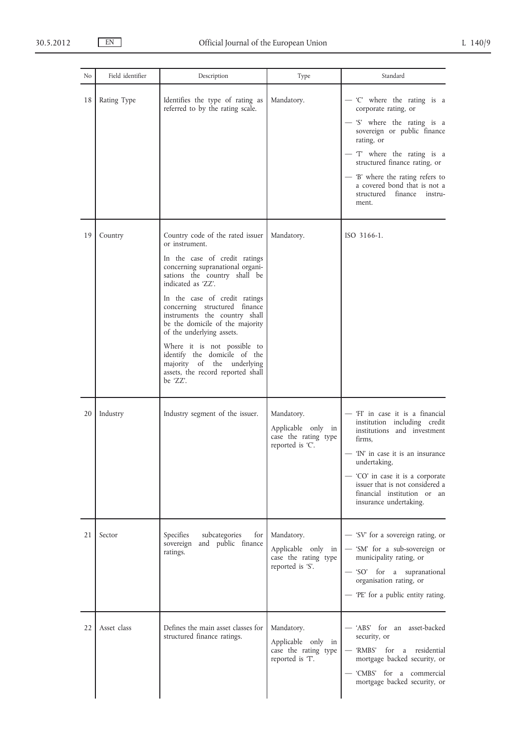| No. | Field identifier | Description                                                                                                                                                                                                                                                                                                                                                                                                                                                                                    | Type                                                                         | Standard                                                                                                                                                                                                                                                                                                         |
|-----|------------------|------------------------------------------------------------------------------------------------------------------------------------------------------------------------------------------------------------------------------------------------------------------------------------------------------------------------------------------------------------------------------------------------------------------------------------------------------------------------------------------------|------------------------------------------------------------------------------|------------------------------------------------------------------------------------------------------------------------------------------------------------------------------------------------------------------------------------------------------------------------------------------------------------------|
| 18  | Rating Type      | Identifies the type of rating as<br>referred to by the rating scale.                                                                                                                                                                                                                                                                                                                                                                                                                           | Mandatory.                                                                   | - 'C' where the rating is a<br>corporate rating, or<br>- 'S' where the rating is a<br>sovereign or public finance<br>rating, or<br>- 'T' where the rating is a<br>structured finance rating, or<br>- 'B' where the rating refers to<br>a covered bond that is not a<br>finance<br>structured<br>instru-<br>ment. |
| 19  | Country          | Country code of the rated issuer<br>or instrument.<br>In the case of credit ratings<br>concerning supranational organi-<br>sations the country shall be<br>indicated as 'ZZ'.<br>In the case of credit ratings<br>concerning structured finance<br>instruments the country shall<br>be the domicile of the majority<br>of the underlying assets.<br>Where it is not possible to<br>identify the domicile of the<br>majority of the underlying<br>assets, the record reported shall<br>be 'ZZ'. | Mandatory.                                                                   | ISO 3166-1.                                                                                                                                                                                                                                                                                                      |
| 20  | Industry         | Industry segment of the issuer.                                                                                                                                                                                                                                                                                                                                                                                                                                                                | Mandatory.<br>Applicable only in<br>case the rating type<br>reported is 'C'. | - 'Fl' in case it is a financial<br>institution including credit<br>institutions and investment<br>firms,<br>- 'IN' in case it is an insurance<br>undertaking,<br>- 'CO' in case it is a corporate<br>issuer that is not considered a<br>financial institution or an<br>insurance undertaking.                   |
| 21  | Sector           | Specifies<br>subcategories<br>for<br>and public finance<br>sovereign<br>ratings.                                                                                                                                                                                                                                                                                                                                                                                                               | Mandatory.<br>Applicable only in<br>case the rating type<br>reported is 'S'. | - 'SV' for a sovereign rating, or<br>- 'SM' for a sub-sovereign or<br>municipality rating, or<br>- 'SO' for a supranational<br>organisation rating, or<br>- 'PE' for a public entity rating.                                                                                                                     |
| 22  | Asset class      | Defines the main asset classes for<br>structured finance ratings.                                                                                                                                                                                                                                                                                                                                                                                                                              | Mandatory.<br>Applicable only in<br>case the rating type<br>reported is 'T'. | - 'ABS' for an asset-backed<br>security, or<br>— 'RMBS' for a residential<br>mortgage backed security, or<br>- 'CMBS' for a commercial<br>mortgage backed security, or                                                                                                                                           |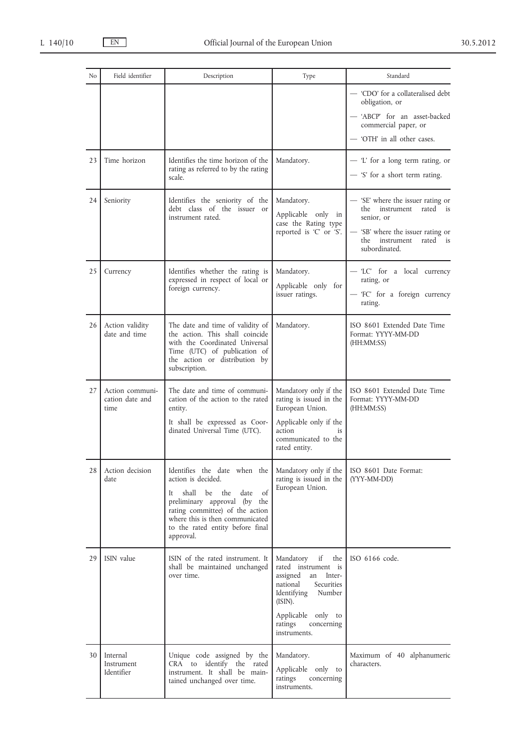| No | Field identifier                           | Description                                                                                                                                                                                                                                       | Type                                                                                                                                                                                                | Standard                                                                                                                                                                |
|----|--------------------------------------------|---------------------------------------------------------------------------------------------------------------------------------------------------------------------------------------------------------------------------------------------------|-----------------------------------------------------------------------------------------------------------------------------------------------------------------------------------------------------|-------------------------------------------------------------------------------------------------------------------------------------------------------------------------|
|    |                                            |                                                                                                                                                                                                                                                   |                                                                                                                                                                                                     | - 'CDO' for a collateralised debt<br>obligation, or<br>- 'ABCP' for an asset-backed<br>commercial paper, or<br>— 'OTH' in all other cases.                              |
| 23 | Time horizon                               | Identifies the time horizon of the<br>rating as referred to by the rating<br>scale.                                                                                                                                                               | Mandatory.                                                                                                                                                                                          | - 'L' for a long term rating, or<br>- 'S' for a short term rating.                                                                                                      |
| 24 | Seniority                                  | Identifies the seniority of the<br>debt class of the issuer or<br>instrument rated.                                                                                                                                                               | Mandatory.<br>Applicable only in<br>case the Rating type<br>reported is 'C' or 'S'.                                                                                                                 | - 'SE' where the issuer rating or<br>instrument<br>rated is<br>the<br>senior, or<br>— 'SB' where the issuer rating or<br>instrument<br>rated is<br>the<br>subordinated. |
| 25 | Currency                                   | Identifies whether the rating is<br>expressed in respect of local or<br>foreign currency.                                                                                                                                                         | Mandatory.<br>Applicable only for<br>issuer ratings.                                                                                                                                                | - 'LC' for a local currency<br>rating, or<br>- 'FC' for a foreign currency<br>rating.                                                                                   |
| 26 | Action validity<br>date and time           | The date and time of validity of<br>the action. This shall coincide<br>with the Coordinated Universal<br>Time (UTC) of publication of<br>the action or distribution by<br>subscription.                                                           | Mandatory.                                                                                                                                                                                          | ISO 8601 Extended Date Time<br>Format: YYYY-MM-DD<br>(HH:MM:SS)                                                                                                         |
| 27 | Action communi-<br>cation date and<br>time | The date and time of communi-<br>cation of the action to the rated<br>entity.<br>It shall be expressed as Coor-<br>dinated Universal Time (UTC).                                                                                                  | Mandatory only if the<br>rating is issued in the<br>European Union.<br>Applicable only if the<br>action<br>is<br>communicated to the<br>rated entity.                                               | ISO 8601 Extended Date Time<br>Format: YYYY-MM-DD<br>(HH:MM:SS)                                                                                                         |
| 28 | Action decision<br>date                    | Identifies the date when the<br>action is decided.<br>the<br>date of<br>shall<br>be<br>It.<br>preliminary approval (by the<br>rating committee) of the action<br>where this is then communicated<br>to the rated entity before final<br>approval. | Mandatory only if the<br>rating is issued in the<br>European Union.                                                                                                                                 | ISO 8601 Date Format:<br>(YYY-MM-DD)                                                                                                                                    |
| 29 | ISIN value                                 | ISIN of the rated instrument. It<br>shall be maintained unchanged<br>over time.                                                                                                                                                                   | Mandatory if<br>the<br>rated instrument is<br>assigned<br>Inter-<br>an<br>national<br>Securities<br>Identifying<br>Number<br>(ISIN).<br>Applicable only to<br>ratings<br>concerning<br>instruments. | ISO 6166 code.                                                                                                                                                          |
| 30 | Internal<br>Instrument<br>Identifier       | Unique code assigned by the<br>CRA to identify the rated<br>instrument. It shall be main-<br>tained unchanged over time.                                                                                                                          | Mandatory.<br>Applicable only to<br>ratings<br>concerning<br>instruments.                                                                                                                           | Maximum of 40 alphanumeric<br>characters.                                                                                                                               |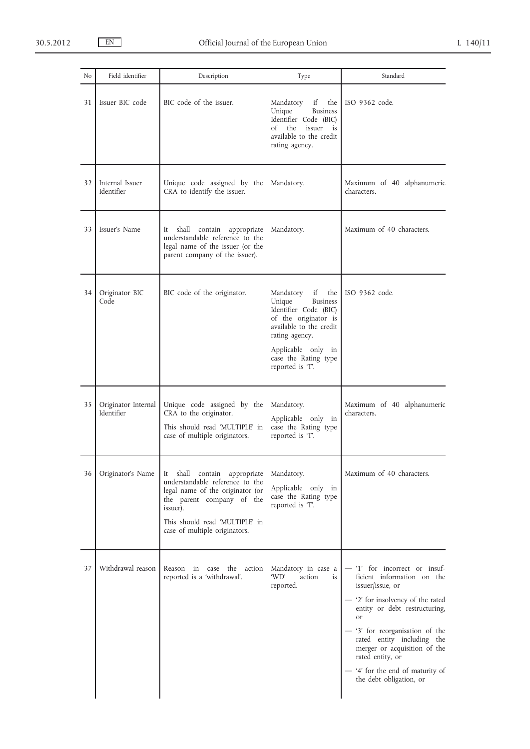| N <sub>0</sub> | Field identifier                  | Description                                                                                                                                                                                                     | Type                                                                                                                                                                                                              | Standard                                                                                                                                                                                                                                                                                                                                               |
|----------------|-----------------------------------|-----------------------------------------------------------------------------------------------------------------------------------------------------------------------------------------------------------------|-------------------------------------------------------------------------------------------------------------------------------------------------------------------------------------------------------------------|--------------------------------------------------------------------------------------------------------------------------------------------------------------------------------------------------------------------------------------------------------------------------------------------------------------------------------------------------------|
| 31             | Issuer BIC code                   | BIC code of the issuer.                                                                                                                                                                                         | Mandatory<br>if<br>the<br>Unique<br><b>Business</b><br>Identifier Code (BIC)<br>the<br>of<br>issuer<br>is<br>available to the credit<br>rating agency.                                                            | ISO 9362 code.                                                                                                                                                                                                                                                                                                                                         |
| 32             | Internal Issuer<br>Identifier     | Unique code assigned by the<br>CRA to identify the issuer.                                                                                                                                                      | Mandatory.                                                                                                                                                                                                        | Maximum of 40 alphanumeric<br>characters.                                                                                                                                                                                                                                                                                                              |
| 33             | Issuer's Name                     | shall contain appropriate<br>It<br>understandable reference to the<br>legal name of the issuer (or the<br>parent company of the issuer).                                                                        | Mandatory.                                                                                                                                                                                                        | Maximum of 40 characters.                                                                                                                                                                                                                                                                                                                              |
| 34             | Originator BIC<br>Code            | BIC code of the originator.                                                                                                                                                                                     | if<br>the<br>Mandatory<br>Unique<br><b>Business</b><br>Identifier Code (BIC)<br>of the originator is<br>available to the credit<br>rating agency.<br>Applicable only in<br>case the Rating type<br>reported is T. | ISO 9362 code.                                                                                                                                                                                                                                                                                                                                         |
| 35             | Originator Internal<br>Identifier | Unique code assigned by the<br>CRA to the originator.<br>This should read 'MULTIPLE' in<br>case of multiple originators.                                                                                        | Mandatory.<br>Applicable only in<br>case the Rating type<br>reported is 'T'.                                                                                                                                      | Maximum of 40 alphanumeric<br>characters.                                                                                                                                                                                                                                                                                                              |
| 36             | Originator's Name                 | It shall contain appropriate<br>understandable reference to the<br>legal name of the originator (or<br>the parent company of the<br>issuer).<br>This should read 'MULTIPLE' in<br>case of multiple originators. | Mandatory.<br>Applicable only in<br>case the Rating type<br>reported is 'T'.                                                                                                                                      | Maximum of 40 characters.                                                                                                                                                                                                                                                                                                                              |
| 37             | Withdrawal reason                 | Reason in case the action<br>reported is a 'withdrawal'.                                                                                                                                                        | Mandatory in case a<br>'WD'<br>action<br>is<br>reported.                                                                                                                                                          | - '1' for incorrect or insuf-<br>ficient information on the<br>issuer/issue, or<br>- '2' for insolvency of the rated<br>entity or debt restructuring,<br><b>or</b><br>- '3' for reorganisation of the<br>rated entity including the<br>merger or acquisition of the<br>rated entity, or<br>- '4' for the end of maturity of<br>the debt obligation, or |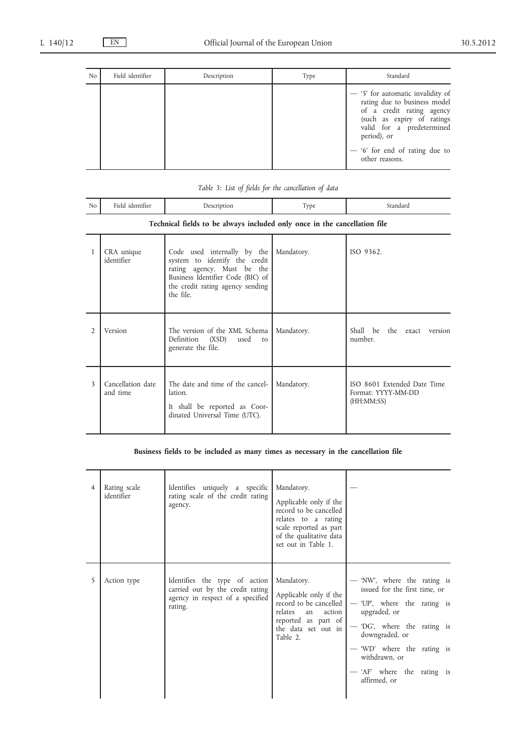$\overline{a}$ 

J.

| N <sub>o</sub> | Field identifier | Description | Type | Standard                                                                                                                                                                                                                       |
|----------------|------------------|-------------|------|--------------------------------------------------------------------------------------------------------------------------------------------------------------------------------------------------------------------------------|
|                |                  |             |      | - '5' for automatic invalidity of<br>rating due to business model<br>of a credit rating agency<br>(such as expiry of ratings<br>valid for a predetermined<br>period), or<br>$-$ '6' for end of rating due to<br>other reasons. |

| No | the contract of the contract of the contract of the contract of the contract of the contract of the contract of |  | . |
|----|-----------------------------------------------------------------------------------------------------------------|--|---|

# **Technical fields to be always included only once in the cancellation file**

| 1              | CRA unique<br>identifier      | Code used internally by the<br>system to identify the credit<br>rating agency. Must be the<br>Business Identifier Code (BIC) of<br>the credit rating agency sending<br>the file. | Mandatory. | ISO 9362.                                                       |
|----------------|-------------------------------|----------------------------------------------------------------------------------------------------------------------------------------------------------------------------------|------------|-----------------------------------------------------------------|
| $\mathfrak{D}$ | Version                       | The version of the XML Schema   Mandatory.<br>Definition (XSD) used<br>to<br>generate the file.                                                                                  |            | Shall be the exact version<br>number.                           |
| 3              | Cancellation date<br>and time | The date and time of the cancel-<br>lation.<br>It shall be reported as Coor-<br>dinated Universal Time (UTC).                                                                    | Mandatory. | ISO 8601 Extended Date Time<br>Format: YYYY-MM-DD<br>(HH:MM:SS) |

### **Business fields to be included as many times as necessary in the cancellation file**

| 4 | Rating scale<br>identifier | Identifies uniquely a specific<br>rating scale of the credit rating<br>agency.                                   | Mandatory.<br>Applicable only if the<br>record to be cancelled<br>relates to a rating<br>scale reported as part<br>of the qualitative data<br>set out in Table 1. |                                                                                                                                                                                                                                                           |
|---|----------------------------|------------------------------------------------------------------------------------------------------------------|-------------------------------------------------------------------------------------------------------------------------------------------------------------------|-----------------------------------------------------------------------------------------------------------------------------------------------------------------------------------------------------------------------------------------------------------|
| 5 | Action type                | Identifies the type of action<br>carried out by the credit rating<br>agency in respect of a specified<br>rating. | Mandatory.<br>Applicable only if the<br>record to be cancelled<br>relates<br>action<br>an<br>reported as part of<br>the data set out in<br>Table 2.               | — 'NW', where the rating is<br>issued for the first time, or<br>— 'UP', where the rating is<br>upgraded, or<br>— 'DG', where the rating is<br>downgraded, or<br>- 'WD' where the rating is<br>withdrawn, or<br>— 'AF' where the rating is<br>affirmed, or |